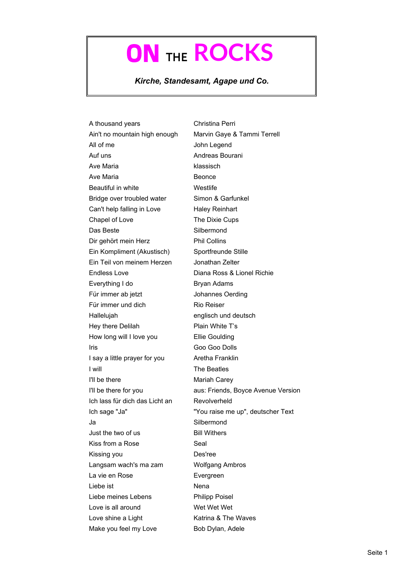## ON THE **ROCKS**

*Kirche, Standesamt, Agape und Co.*

A thousand years Christina Perri Ain't no mountain high enough Marvin Gaye & Tammi Terrell All of me John Legend Auf uns **Andreas Bourani** Ave Maria klassisch Ave Maria **Beonce** Beautiful in white Westlife Bridge over troubled water Simon & Garfunkel Can't help falling in Love Haley Reinhart Chapel of Love The Dixie Cups Das Beste Silbermond Dir gehört mein Herz Phil Collins Ein Kompliment (Akustisch) Sportfreunde Stille Ein Teil von meinem Herzen Jonathan Zelter Endless Love **Diana Ross & Lionel Richie** Everything I do Bryan Adams Für immer ab jetzt Johannes Oerding Für immer und dich Rio Reiser Hallelujah englisch und deutsch Hey there Delilah Plain White T's How long will I love you Ellie Goulding Iris Goo Goo Dolls I say a little prayer for you Aretha Franklin I will The Beatles I'll be there Mariah Carey I'll be there for you aus: Friends, Boyce Avenue Version Ich lass für dich das Licht an Revolverheld Ich sage "Ja" "You raise me up", deutscher Text Ja Silbermond Just the two of us **Bill Withers** Kiss from a Rose Seal Kissing you Des'ree Langsam wach's ma zam Wolfgang Ambros La vie en Rose **Evergreen** Liebe ist Nena Liebe meines Lebens Philipp Poisel Love is all around Wet Wet Wet Wet Love shine a Light Katrina & The Waves Make you feel my Love Bob Dylan, Adele